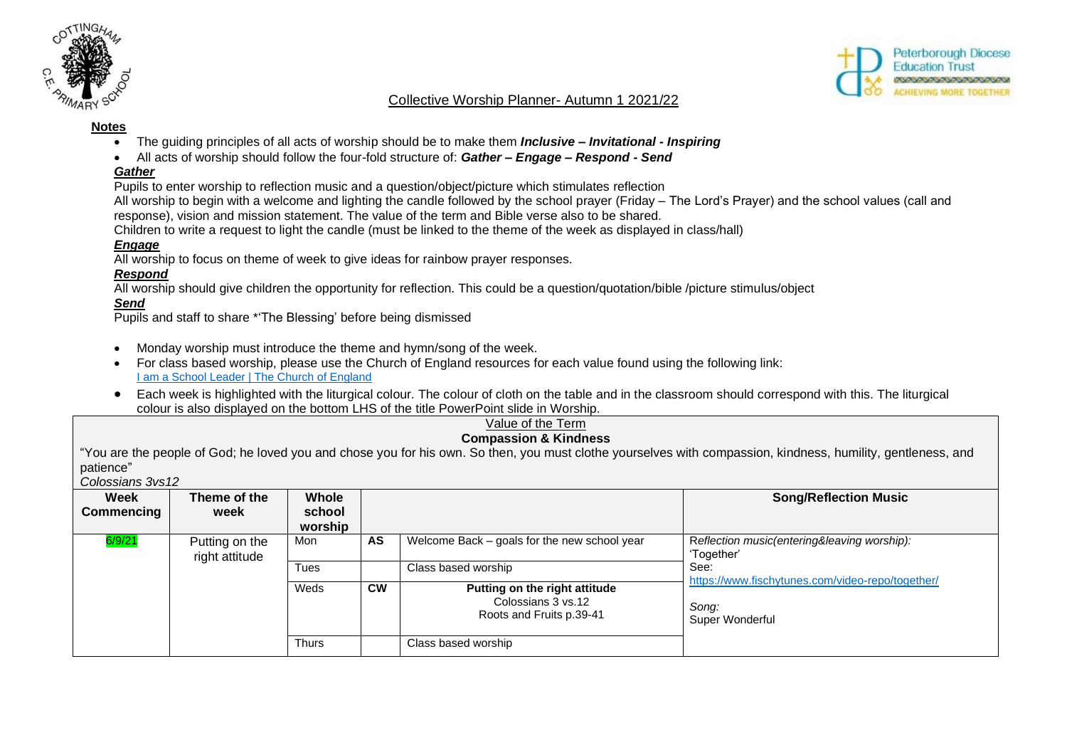



## Collective Worship Planner- Autumn 1 2021/22

#### **Notes**

- The guiding principles of all acts of worship should be to make them *Inclusive – Invitational - Inspiring*
- All acts of worship should follow the four-fold structure of: *Gather – Engage – Respond - Send*

## *Gather*

Pupils to enter worship to reflection music and a question/object/picture which stimulates reflection

All worship to begin with a welcome and lighting the candle followed by the school prayer (Friday – The Lord's Prayer) and the school values (call and response), vision and mission statement. The value of the term and Bible verse also to be shared.

Children to write a request to light the candle (must be linked to the theme of the week as displayed in class/hall)

## *Engage*

All worship to focus on theme of week to give ideas for rainbow prayer responses.

# *Respond*

All worship should give children the opportunity for reflection. This could be a question/quotation/bible /picture stimulus/object

# *Send*

Pupils and staff to share \*'The Blessing' before being dismissed

- Monday worship must introduce the theme and hymn/song of the week.
- For class based worship, please use the Church of England resources for each value found using the following link: **[I am a School Leader | The Church of England](https://www.churchofengland.org/our-faith/faith-home/i-am-school-leader)**
- Each week is highlighted with the liturgical colour. The colour of cloth on the table and in the classroom should correspond with this. The liturgical colour is also displayed on the bottom LHS of the title PowerPoint slide in Worship.

#### Value of the Term **Compassion & Kindness**

"You are the people of God; he loved you and chose you for his own. So then, you must clothe yourselves with compassion, kindness, humility, gentleness, and patience"

*Colossians 3vs12*

| Week<br>Commencing | Theme of the<br>week             | <b>Whole</b><br>school<br>worship |           |                                                                                 | <b>Song/Reflection Music</b>                                                         |
|--------------------|----------------------------------|-----------------------------------|-----------|---------------------------------------------------------------------------------|--------------------------------------------------------------------------------------|
| 6/9/21             | Putting on the<br>right attitude | Mon                               | AS        | Welcome Back - goals for the new school year                                    | Reflection music(entering&leaving worship):<br>'Together'                            |
|                    |                                  | Tues                              |           | Class based worship                                                             | See:<br>https://www.fischytunes.com/video-repo/together/<br>Song:<br>Super Wonderful |
|                    |                                  | Weds                              | <b>CW</b> | Putting on the right attitude<br>Colossians 3 vs.12<br>Roots and Fruits p.39-41 |                                                                                      |
|                    |                                  | <b>Thurs</b>                      |           | Class based worship                                                             |                                                                                      |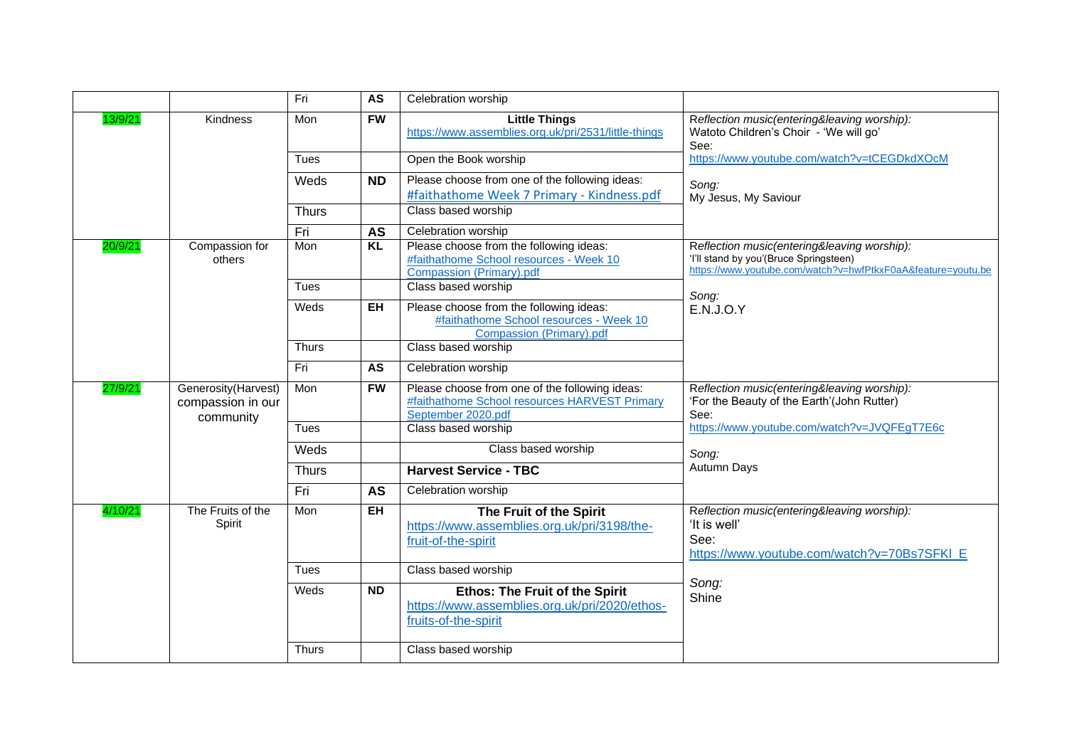|         |                                                       | Fri          | <b>AS</b>           | Celebration worship                                                                                                   |                                                                                                                                                       |
|---------|-------------------------------------------------------|--------------|---------------------|-----------------------------------------------------------------------------------------------------------------------|-------------------------------------------------------------------------------------------------------------------------------------------------------|
| 13/9/21 | Kindness                                              | Mon          | <b>FW</b>           | <b>Little Things</b><br>https://www.assemblies.org.uk/pri/2531/little-things                                          | Reflection music(entering&leaving worship):<br>Watoto Children's Choir - 'We will go'<br>See:                                                         |
|         |                                                       | Tues         |                     | Open the Book worship                                                                                                 | https://www.youtube.com/watch?v=tCEGDkdXOcM                                                                                                           |
|         |                                                       | Weds         | <b>ND</b>           | Please choose from one of the following ideas:<br>#faithathome Week 7 Primary - Kindness.pdf                          | Song:<br>My Jesus, My Saviour                                                                                                                         |
|         | <b>Thurs</b>                                          |              | Class based worship |                                                                                                                       |                                                                                                                                                       |
|         |                                                       | Fri          | <b>AS</b>           | Celebration worship                                                                                                   |                                                                                                                                                       |
| 20/9/21 | Compassion for<br>others                              | Mon          | KL                  | Please choose from the following ideas:<br>#faithathome School resources - Week 10<br>Compassion (Primary).pdf        | Reflection music(entering&leaving worship):<br>'I'll stand by you'(Bruce Springsteen)<br>https://www.youtube.com/watch?v=hwfPtkxF0aA&feature=youtu.be |
|         |                                                       | Tues         |                     | Class based worship                                                                                                   | Song:                                                                                                                                                 |
|         |                                                       | Weds         | EH                  | Please choose from the following ideas:<br>#faithathome School resources - Week 10<br>Compassion (Primary).pdf        | <b>E.N.J.O.Y</b>                                                                                                                                      |
|         |                                                       | Thurs        |                     | Class based worship                                                                                                   |                                                                                                                                                       |
|         |                                                       | Fri          | AS                  | Celebration worship                                                                                                   |                                                                                                                                                       |
| 27/9/21 | Generosity(Harvest)<br>compassion in our<br>community | Mon          | <b>FW</b>           | Please choose from one of the following ideas:<br>#faithathome School resources HARVEST Primary<br>September 2020.pdf | Reflection music(entering&leaving worship):<br>'For the Beauty of the Earth'(John Rutter)<br>See:                                                     |
|         |                                                       | Tues         |                     | Class based worship                                                                                                   | https://www.youtube.com/watch?v=JVQFEgT7E6c                                                                                                           |
|         |                                                       | Weds         |                     | Class based worship                                                                                                   | Song:                                                                                                                                                 |
|         |                                                       | <b>Thurs</b> |                     | <b>Harvest Service - TBC</b>                                                                                          | Autumn Days                                                                                                                                           |
|         |                                                       | Fri          | <b>AS</b>           | Celebration worship                                                                                                   |                                                                                                                                                       |
| 4/10/21 | The Fruits of the<br>Spirit                           | Mon          | <b>EH</b>           | The Fruit of the Spirit<br>https://www.assemblies.org.uk/pri/3198/the-<br>fruit-of-the-spirit                         | Reflection music(entering&leaving worship):<br>'It is well'<br>See:<br>https://www.youtube.com/watch?v=70Bs7SFKI E                                    |
|         |                                                       | Tues         |                     | Class based worship                                                                                                   |                                                                                                                                                       |
|         |                                                       | Weds         | <b>ND</b>           | <b>Ethos: The Fruit of the Spirit</b><br>https://www.assemblies.org.uk/pri/2020/ethos-<br>fruits-of-the-spirit        | Song:<br>Shine                                                                                                                                        |
|         |                                                       | <b>Thurs</b> |                     | Class based worship                                                                                                   |                                                                                                                                                       |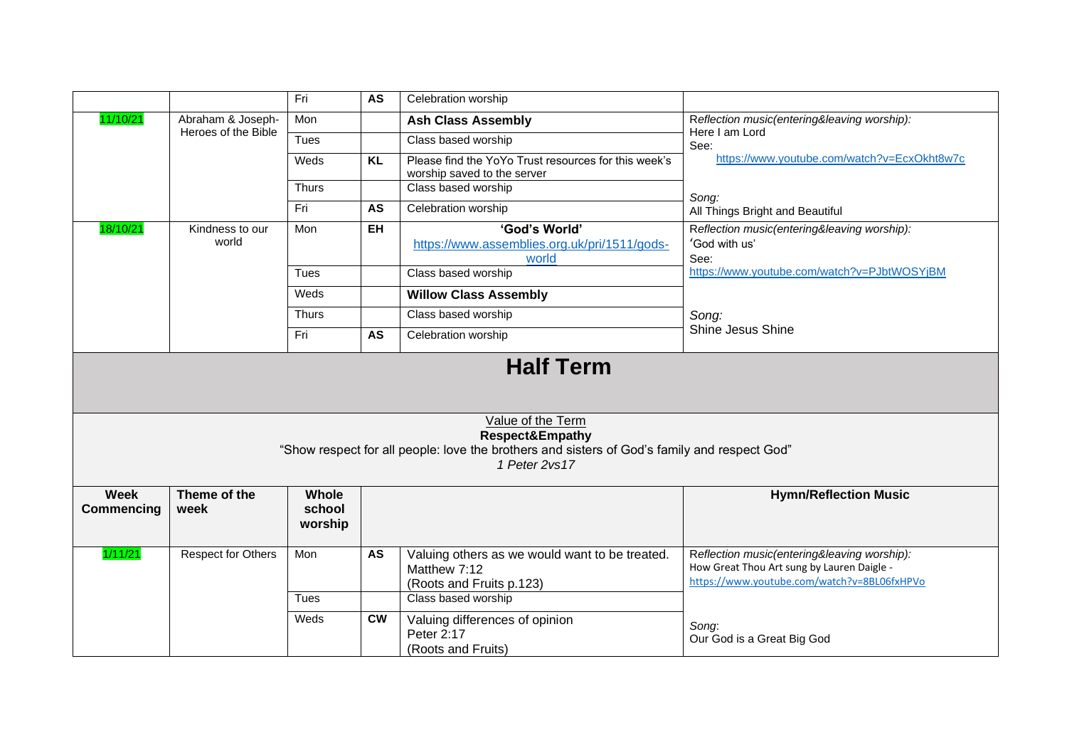|                                  |                                          | Fri                        | <b>AS</b>                                                                           | Celebration worship                                                                                           |                                                                                                                                          |
|----------------------------------|------------------------------------------|----------------------------|-------------------------------------------------------------------------------------|---------------------------------------------------------------------------------------------------------------|------------------------------------------------------------------------------------------------------------------------------------------|
| 11/10/21                         | Abraham & Joseph-<br>Heroes of the Bible | Mon                        |                                                                                     | <b>Ash Class Assembly</b>                                                                                     | Reflection music(entering&leaving worship):<br>Here I am Lord                                                                            |
|                                  | $\overline{T}$ ues                       |                            | Class based worship                                                                 | See:                                                                                                          |                                                                                                                                          |
|                                  | Weds                                     | <b>KL</b>                  | Please find the YoYo Trust resources for this week's<br>worship saved to the server | https://www.youtube.com/watch?v=EcxOkht8w7c                                                                   |                                                                                                                                          |
|                                  | <b>Thurs</b>                             |                            | Class based worship                                                                 | Song:                                                                                                         |                                                                                                                                          |
|                                  | Fri                                      | <b>AS</b>                  | Celebration worship                                                                 | All Things Bright and Beautiful                                                                               |                                                                                                                                          |
| 18/10/21                         | Kindness to our<br>world                 | Mon                        | <b>EH</b>                                                                           | 'God's World'<br>https://www.assemblies.org.uk/pri/1511/gods-<br>world                                        | Reflection music(entering&leaving worship):<br>'God with us'<br>See:                                                                     |
|                                  |                                          | Tues                       |                                                                                     | Class based worship                                                                                           | https://www.youtube.com/watch?v=PJbtWOSYjBM                                                                                              |
|                                  |                                          | Weds                       |                                                                                     | <b>Willow Class Assembly</b>                                                                                  |                                                                                                                                          |
|                                  |                                          | Thurs                      |                                                                                     | Class based worship                                                                                           | Song:                                                                                                                                    |
|                                  |                                          | Fri                        | AS                                                                                  | Celebration worship                                                                                           | Shine Jesus Shine                                                                                                                        |
|                                  |                                          |                            |                                                                                     |                                                                                                               |                                                                                                                                          |
|                                  |                                          |                            |                                                                                     | Value of the Term                                                                                             |                                                                                                                                          |
|                                  |                                          |                            |                                                                                     | Respect&Empathy                                                                                               |                                                                                                                                          |
|                                  |                                          |                            |                                                                                     | "Show respect for all people: love the brothers and sisters of God's family and respect God"<br>1 Peter 2vs17 |                                                                                                                                          |
|                                  |                                          |                            |                                                                                     |                                                                                                               |                                                                                                                                          |
| <b>Week</b><br><b>Commencing</b> | Theme of the<br>week                     | Whole<br>school<br>worship |                                                                                     |                                                                                                               | <b>Hymn/Reflection Music</b>                                                                                                             |
| 1/11/21                          | <b>Respect for Others</b>                | Mon                        | AS                                                                                  | Valuing others as we would want to be treated.<br>Matthew 7:12<br>(Roots and Fruits p.123)                    | Reflection music(entering&leaving worship):<br>How Great Thou Art sung by Lauren Daigle -<br>https://www.youtube.com/watch?v=8BL06fxHPVo |
|                                  |                                          | <b>Tues</b>                |                                                                                     | Class based worship                                                                                           |                                                                                                                                          |
|                                  |                                          | Weds                       | $\overline{\text{cw}}$                                                              | Valuing differences of opinion<br>Peter 2:17<br>(Roots and Fruits)                                            | Song:<br>Our God is a Great Big God                                                                                                      |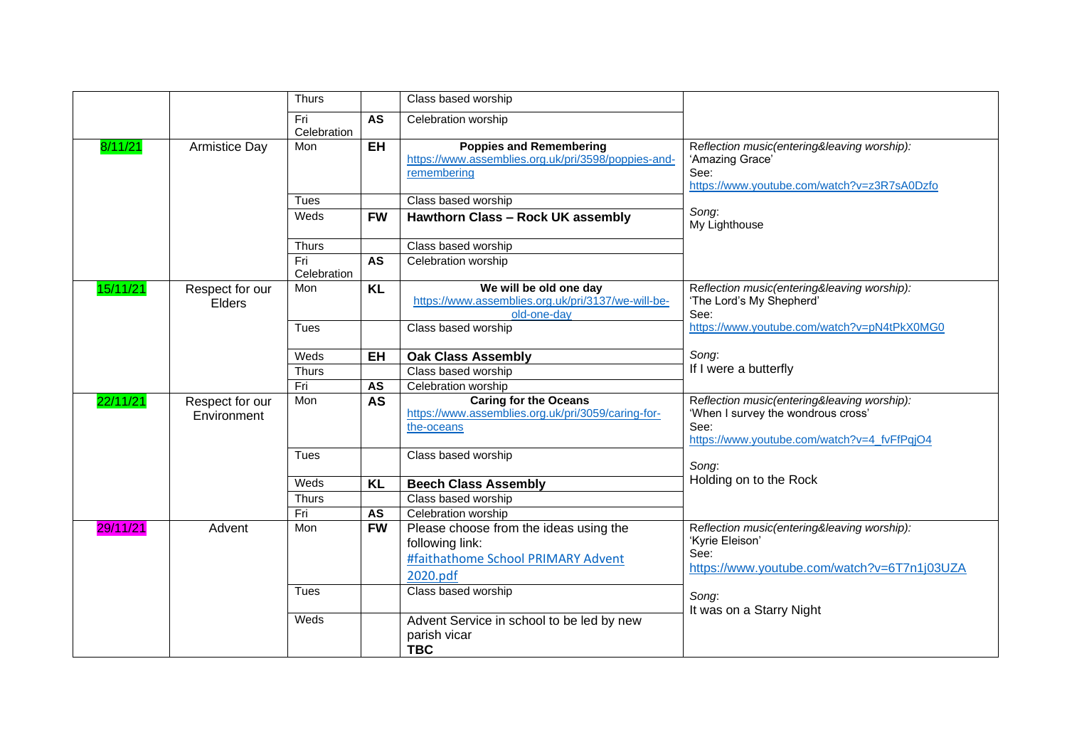|          |                      | <b>Thurs</b> |           | Class based worship                                                          |                                                                         |
|----------|----------------------|--------------|-----------|------------------------------------------------------------------------------|-------------------------------------------------------------------------|
|          |                      | Fri          | <b>AS</b> | Celebration worship                                                          |                                                                         |
|          |                      | Celebration  |           |                                                                              |                                                                         |
| 8/11/21  | <b>Armistice Day</b> | Mon          | $E$ H     | <b>Poppies and Remembering</b>                                               | Reflection music(entering&leaving worship):                             |
|          |                      |              |           | https://www.assemblies.org.uk/pri/3598/poppies-and-                          | 'Amazing Grace'                                                         |
|          |                      |              |           | remembering                                                                  | See:                                                                    |
|          |                      |              |           |                                                                              | https://www.youtube.com/watch?v=z3R7sA0Dzfo                             |
|          |                      | Tues         |           | Class based worship                                                          | Song:                                                                   |
|          |                      | Weds         | <b>FW</b> | Hawthorn Class - Rock UK assembly                                            | My Lighthouse                                                           |
|          |                      | <b>Thurs</b> |           | Class based worship                                                          |                                                                         |
|          |                      | Fri          | <b>AS</b> | Celebration worship                                                          |                                                                         |
|          |                      | Celebration  |           |                                                                              |                                                                         |
| 15/11/21 | Respect for our      | Mon          | <b>KL</b> | We will be old one day<br>https://www.assemblies.org.uk/pri/3137/we-will-be- | Reflection music(entering&leaving worship):<br>'The Lord's My Shepherd' |
|          | <b>Elders</b>        |              |           | old-one-day                                                                  | See:                                                                    |
|          |                      | Tues         |           | Class based worship                                                          | https://www.youtube.com/watch?v=pN4tPkX0MG0                             |
|          |                      |              |           |                                                                              |                                                                         |
|          |                      | Weds         | EH        | <b>Oak Class Assembly</b>                                                    | Song:                                                                   |
|          |                      | <b>Thurs</b> |           | Class based worship                                                          | If I were a butterfly                                                   |
|          |                      | Fri          | AS        | Celebration worship                                                          |                                                                         |
| 22/11/21 | Respect for our      | Mon          | <b>AS</b> | <b>Caring for the Oceans</b>                                                 | Reflection music(entering&leaving worship):                             |
|          | Environment          |              |           | https://www.assemblies.org.uk/pri/3059/caring-for-                           | 'When I survey the wondrous cross'                                      |
|          |                      |              |           | the-oceans                                                                   | See:<br>https://www.youtube.com/watch?v=4_fvFfPqjO4                     |
|          |                      | Tues         |           | Class based worship                                                          |                                                                         |
|          |                      |              |           |                                                                              | Song:                                                                   |
|          |                      | Weds         | <b>KL</b> | <b>Beech Class Assembly</b>                                                  | Holding on to the Rock                                                  |
|          |                      | Thurs        |           | Class based worship                                                          |                                                                         |
|          |                      | Fri          | AS        | Celebration worship                                                          |                                                                         |
| 29/11/21 | Advent               | Mon          | <b>FW</b> | Please choose from the ideas using the                                       | Reflection music(entering&leaving worship):                             |
|          |                      |              |           | following link:                                                              | 'Kyrie Eleison'                                                         |
|          |                      |              |           | #faithathome School PRIMARY Advent                                           | See:                                                                    |
|          |                      |              |           | 2020.pdf                                                                     | https://www.youtube.com/watch?v=6T7n1j03UZA                             |
|          |                      | Tues         |           | Class based worship                                                          |                                                                         |
|          |                      |              |           |                                                                              | Song:                                                                   |
|          |                      | Weds         |           | Advent Service in school to be led by new                                    | It was on a Starry Night                                                |
|          |                      |              |           | parish vicar                                                                 |                                                                         |
|          |                      |              |           |                                                                              |                                                                         |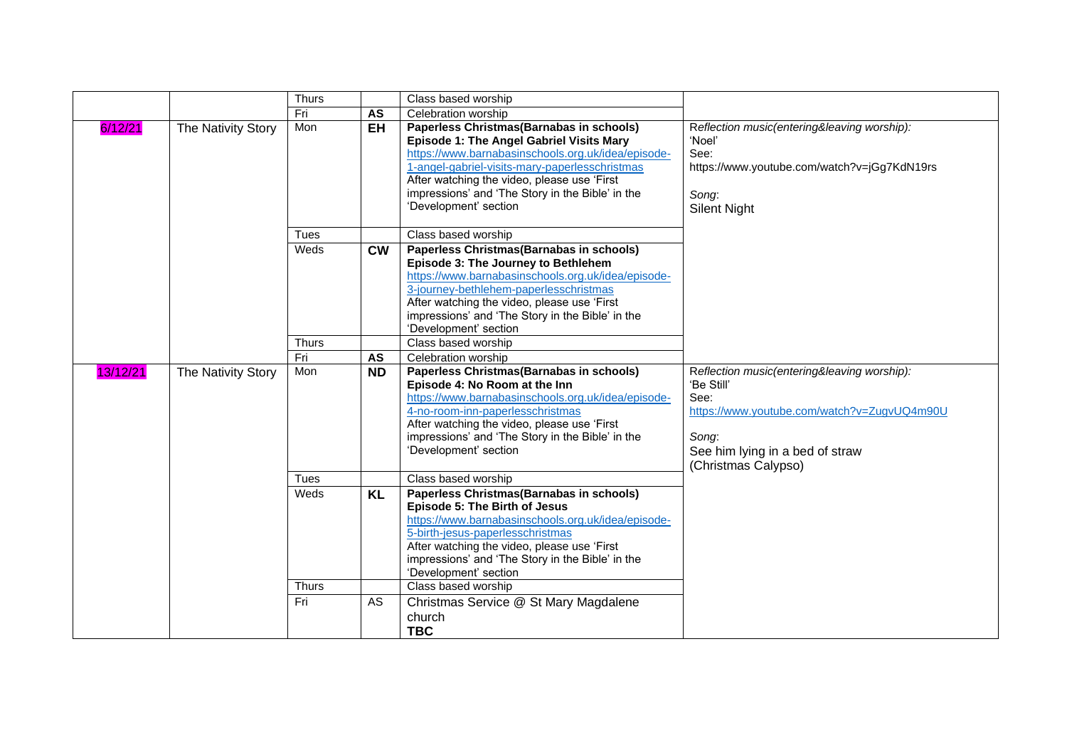|          |                    | Thurs        |           | Class based worship                                                                 |                                                           |
|----------|--------------------|--------------|-----------|-------------------------------------------------------------------------------------|-----------------------------------------------------------|
|          |                    | Fri          | AS        | Celebration worship                                                                 |                                                           |
| 6/12/21  | The Nativity Story | Mon          | <b>EH</b> | Paperless Christmas (Barnabas in schools)                                           | Reflection music(entering&leaving worship):               |
|          |                    |              |           | Episode 1: The Angel Gabriel Visits Mary                                            | 'Noel'                                                    |
|          |                    |              |           | https://www.barnabasinschools.org.uk/idea/episode-                                  | See:                                                      |
|          |                    |              |           | 1-angel-gabriel-visits-mary-paperlesschristmas                                      | https://www.youtube.com/watch?v=jGg7KdN19rs               |
|          |                    |              |           | After watching the video, please use 'First                                         |                                                           |
|          |                    |              |           | impressions' and 'The Story in the Bible' in the                                    | Song:                                                     |
|          |                    |              |           | 'Development' section                                                               | <b>Silent Night</b>                                       |
|          |                    |              |           |                                                                                     |                                                           |
|          |                    | Tues         |           | Class based worship                                                                 |                                                           |
|          |                    | Weds         | <b>CW</b> | Paperless Christmas (Barnabas in schools)                                           |                                                           |
|          |                    |              |           | Episode 3: The Journey to Bethlehem                                                 |                                                           |
|          |                    |              |           | https://www.barnabasinschools.org.uk/idea/episode-                                  |                                                           |
|          |                    |              |           | 3-journey-bethlehem-paperlesschristmas                                              |                                                           |
|          |                    |              |           | After watching the video, please use 'First                                         |                                                           |
|          |                    |              |           | impressions' and 'The Story in the Bible' in the                                    |                                                           |
|          |                    |              |           | 'Development' section<br>Class based worship                                        |                                                           |
|          |                    | <b>Thurs</b> |           |                                                                                     |                                                           |
|          |                    | Fri          | <b>AS</b> | Celebration worship                                                                 |                                                           |
| 13/12/21 | The Nativity Story | Mon          | <b>ND</b> | Paperless Christmas (Barnabas in schools)                                           | Reflection music(entering&leaving worship):<br>'Be Still' |
|          |                    |              |           | Episode 4: No Room at the Inn<br>https://www.barnabasinschools.org.uk/idea/episode- | See:                                                      |
|          |                    |              |           |                                                                                     |                                                           |
|          |                    |              |           |                                                                                     |                                                           |
|          |                    |              |           | 4-no-room-inn-paperlesschristmas                                                    | https://www.youtube.com/watch?v=ZugvUQ4m90U               |
|          |                    |              |           | After watching the video, please use 'First                                         |                                                           |
|          |                    |              |           | impressions' and 'The Story in the Bible' in the                                    | Song:                                                     |
|          |                    |              |           | 'Development' section                                                               | See him lying in a bed of straw                           |
|          |                    | Tues         |           | Class based worship                                                                 | (Christmas Calypso)                                       |
|          |                    | Weds         | <b>KL</b> | Paperless Christmas (Barnabas in schools)                                           |                                                           |
|          |                    |              |           | Episode 5: The Birth of Jesus                                                       |                                                           |
|          |                    |              |           | https://www.barnabasinschools.org.uk/idea/episode-                                  |                                                           |
|          |                    |              |           | 5-birth-jesus-paperlesschristmas                                                    |                                                           |
|          |                    |              |           | After watching the video, please use 'First                                         |                                                           |
|          |                    |              |           | impressions' and 'The Story in the Bible' in the                                    |                                                           |
|          |                    |              |           | 'Development' section                                                               |                                                           |
|          |                    | <b>Thurs</b> |           | Class based worship                                                                 |                                                           |
|          |                    | Fri          | AS        | Christmas Service @ St Mary Magdalene                                               |                                                           |
|          |                    |              |           | church<br><b>TBC</b>                                                                |                                                           |